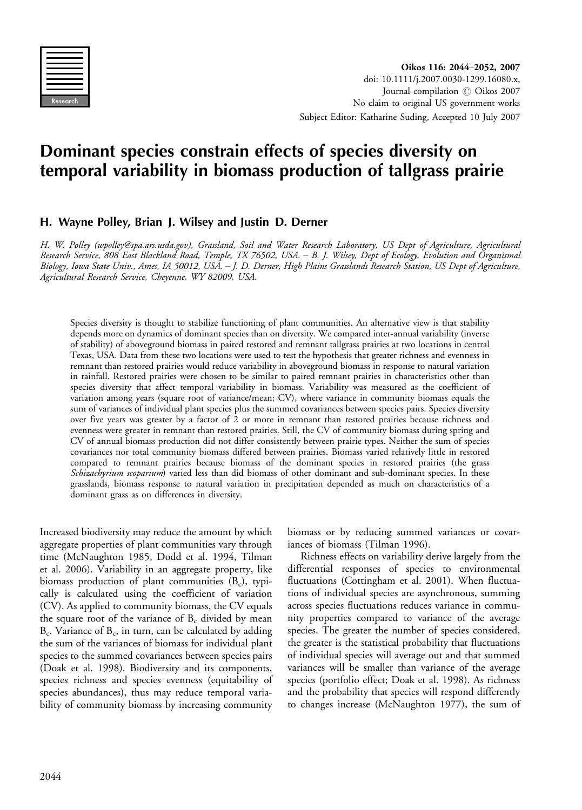| Research |
|----------|

# Dominant species constrain effects of species diversity on temporal variability in biomass production of tallgrass prairie

# H. Wayne Polley, Brian J. Wilsey and Justin D. Derner

H. W. Polley (wpolley@spa.ars.usda.gov), Grassland, Soil and Water Research Laboratory, US Dept of Agriculture, Agricultural Research Service, 808 East Blackland Road, Temple, TX 76502, USA. - B. J. Wilsey, Dept of Ecology, Evolution and Organismal Biology, Iowa State Univ., Ames, IA 50012, USA. - J. D. Derner, High Plains Grasslands Research Station, US Dept of Agriculture, Agricultural Research Service, Cheyenne, WY 82009, USA.

Species diversity is thought to stabilize functioning of plant communities. An alternative view is that stability depends more on dynamics of dominant species than on diversity. We compared inter-annual variability (inverse of stability) of aboveground biomass in paired restored and remnant tallgrass prairies at two locations in central Texas, USA. Data from these two locations were used to test the hypothesis that greater richness and evenness in remnant than restored prairies would reduce variability in aboveground biomass in response to natural variation in rainfall. Restored prairies were chosen to be similar to paired remnant prairies in characteristics other than species diversity that affect temporal variability in biomass. Variability was measured as the coefficient of variation among years (square root of variance/mean; CV), where variance in community biomass equals the sum of variances of individual plant species plus the summed covariances between species pairs. Species diversity over five years was greater by a factor of 2 or more in remnant than restored prairies because richness and evenness were greater in remnant than restored prairies. Still, the CV of community biomass during spring and CV of annual biomass production did not differ consistently between prairie types. Neither the sum of species covariances nor total community biomass differed between prairies. Biomass varied relatively little in restored compared to remnant prairies because biomass of the dominant species in restored prairies (the grass Schizachyrium scoparium) varied less than did biomass of other dominant and sub-dominant species. In these grasslands, biomass response to natural variation in precipitation depended as much on characteristics of a dominant grass as on differences in diversity.

Increased biodiversity may reduce the amount by which aggregate properties of plant communities vary through time (McNaughton 1985, Dodd et al. 1994, Tilman et al. 2006). Variability in an aggregate property, like biomass production of plant communities  $(B_c)$ , typically is calculated using the coefficient of variation (CV). As applied to community biomass, the CV equals the square root of the variance of  $B_c$  divided by mean  $B_c$ . Variance of  $B_c$ , in turn, can be calculated by adding the sum of the variances of biomass for individual plant species to the summed covariances between species pairs (Doak et al. 1998). Biodiversity and its components, species richness and species evenness (equitability of species abundances), thus may reduce temporal variability of community biomass by increasing community biomass or by reducing summed variances or covariances of biomass (Tilman 1996).

Richness effects on variability derive largely from the differential responses of species to environmental fluctuations (Cottingham et al. 2001). When fluctuations of individual species are asynchronous, summing across species fluctuations reduces variance in community properties compared to variance of the average species. The greater the number of species considered, the greater is the statistical probability that fluctuations of individual species will average out and that summed variances will be smaller than variance of the average species (portfolio effect; Doak et al. 1998). As richness and the probability that species will respond differently to changes increase (McNaughton 1977), the sum of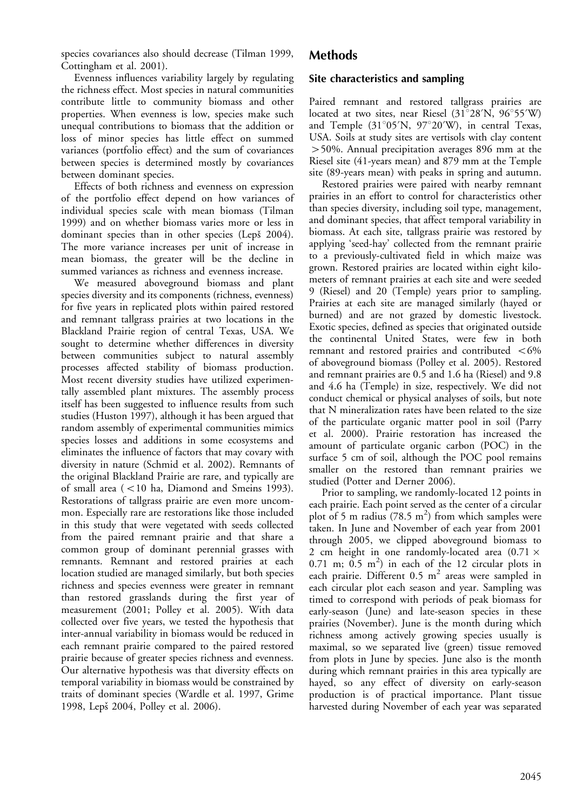species covariances also should decrease (Tilman 1999, Cottingham et al. 2001).

Evenness influences variability largely by regulating the richness effect. Most species in natural communities contribute little to community biomass and other properties. When evenness is low, species make such unequal contributions to biomass that the addition or loss of minor species has little effect on summed variances (portfolio effect) and the sum of covariances between species is determined mostly by covariances between dominant species.

Effects of both richness and evenness on expression of the portfolio effect depend on how variances of individual species scale with mean biomass (Tilman 1999) and on whether biomass varies more or less in dominant species than in other species (Lepš 2004). The more variance increases per unit of increase in mean biomass, the greater will be the decline in summed variances as richness and evenness increase.

We measured aboveground biomass and plant species diversity and its components (richness, evenness) for five years in replicated plots within paired restored and remnant tallgrass prairies at two locations in the Blackland Prairie region of central Texas, USA. We sought to determine whether differences in diversity between communities subject to natural assembly processes affected stability of biomass production. Most recent diversity studies have utilized experimentally assembled plant mixtures. The assembly process itself has been suggested to influence results from such studies (Huston 1997), although it has been argued that random assembly of experimental communities mimics species losses and additions in some ecosystems and eliminates the influence of factors that may covary with diversity in nature (Schmid et al. 2002). Remnants of the original Blackland Prairie are rare, and typically are of small area  $(< 10$  ha, Diamond and Smeins 1993). Restorations of tallgrass prairie are even more uncommon. Especially rare are restorations like those included in this study that were vegetated with seeds collected from the paired remnant prairie and that share a common group of dominant perennial grasses with remnants. Remnant and restored prairies at each location studied are managed similarly, but both species richness and species evenness were greater in remnant than restored grasslands during the first year of measurement (2001; Polley et al. 2005). With data collected over five years, we tested the hypothesis that inter-annual variability in biomass would be reduced in each remnant prairie compared to the paired restored prairie because of greater species richness and evenness. Our alternative hypothesis was that diversity effects on temporal variability in biomass would be constrained by traits of dominant species (Wardle et al. 1997, Grime 1998, Lepš 2004, Polley et al. 2006).

## Methods

## Site characteristics and sampling

Paired remnant and restored tallgrass prairies are located at two sites, near Riesel  $(31^{\circ}28'N, 96^{\circ}55'W)$ and Temple  $(31°05'N, 97°20'W)$ , in central Texas, USA. Soils at study sites are vertisols with clay content -50%. Annual precipitation averages 896 mm at the Riesel site (41-years mean) and 879 mm at the Temple site (89-years mean) with peaks in spring and autumn.

Restored prairies were paired with nearby remnant prairies in an effort to control for characteristics other than species diversity, including soil type, management, and dominant species, that affect temporal variability in biomass. At each site, tallgrass prairie was restored by applying 'seed-hay' collected from the remnant prairie to a previously-cultivated field in which maize was grown. Restored prairies are located within eight kilometers of remnant prairies at each site and were seeded 9 (Riesel) and 20 (Temple) years prior to sampling. Prairies at each site are managed similarly (hayed or burned) and are not grazed by domestic livestock. Exotic species, defined as species that originated outside the continental United States, were few in both remnant and restored prairies and contributed  $<$  6% of aboveground biomass (Polley et al. 2005). Restored and remnant prairies are 0.5 and 1.6 ha (Riesel) and 9.8 and 4.6 ha (Temple) in size, respectively. We did not conduct chemical or physical analyses of soils, but note that N mineralization rates have been related to the size of the particulate organic matter pool in soil (Parry et al. 2000). Prairie restoration has increased the amount of particulate organic carbon (POC) in the surface 5 cm of soil, although the POC pool remains smaller on the restored than remnant prairies we studied (Potter and Derner 2006).

Prior to sampling, we randomly-located 12 points in each prairie. Each point served as the center of a circular plot of 5 m radius (78.5  $m<sup>2</sup>$ ) from which samples were taken. In June and November of each year from 2001 through 2005, we clipped aboveground biomass to 2 cm height in one randomly-located area  $(0.71 \times$  $0.71$  m;  $0.5$  m<sup>2</sup>) in each of the 12 circular plots in each prairie. Different  $0.5 \text{ m}^2$  areas were sampled in each circular plot each season and year. Sampling was timed to correspond with periods of peak biomass for early-season (June) and late-season species in these prairies (November). June is the month during which richness among actively growing species usually is maximal, so we separated live (green) tissue removed from plots in June by species. June also is the month during which remnant prairies in this area typically are hayed, so any effect of diversity on early-season production is of practical importance. Plant tissue harvested during November of each year was separated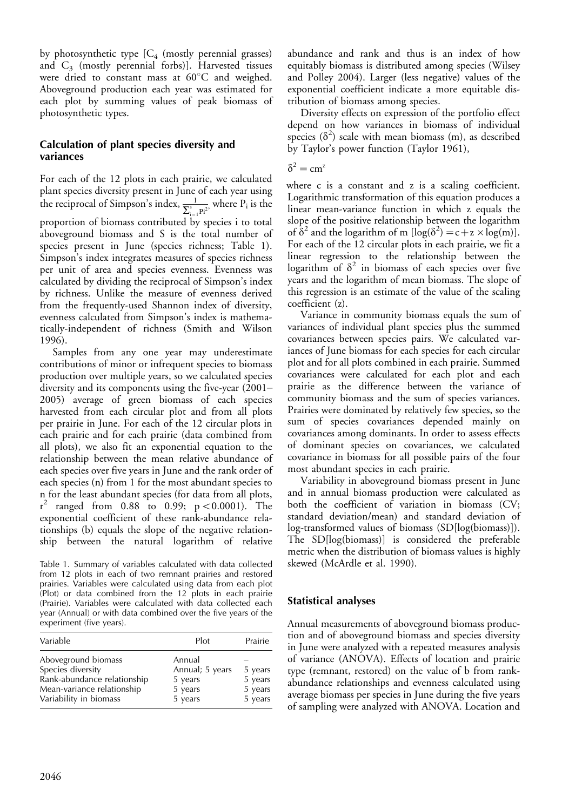by photosynthetic type  $[C_4$  (mostly perennial grasses) and  $C_3$  (mostly perennial forbs)]. Harvested tissues were dried to constant mass at  $60^{\circ}$ C and weighed. Aboveground production each year was estimated for each plot by summing values of peak biomass of photosynthetic types.

## Calculation of plant species diversity and variances

For each of the 12 plots in each prairie, we calculated plant species diversity present in June of each year using the reciprocal of Simpson's index,  $\frac{1}{\sum_{i=1}^{s} P_i^{2^i}}$  where  $P_i$  is the proportion of biomass contributed by species i to total aboveground biomass and S is the total number of species present in June (species richness; Table 1). Simpson's index integrates measures of species richness per unit of area and species evenness. Evenness was calculated by dividing the reciprocal of Simpson's index by richness. Unlike the measure of evenness derived from the frequently-used Shannon index of diversity, evenness calculated from Simpson's index is mathematically-independent of richness (Smith and Wilson 1996).

Samples from any one year may underestimate contributions of minor or infrequent species to biomass production over multiple years, so we calculated species diversity and its components using the five-year (2001 2005) average of green biomass of each species harvested from each circular plot and from all plots per prairie in June. For each of the 12 circular plots in each prairie and for each prairie (data combined from all plots), we also fit an exponential equation to the relationship between the mean relative abundance of each species over five years in June and the rank order of each species (n) from 1 for the most abundant species to n for the least abundant species (for data from all plots,  $r^2$  ranged from 0.88 to 0.99;  $p < 0.0001$ ). The exponential coefficient of these rank-abundance relationships (b) equals the slope of the negative relationship between the natural logarithm of relative

Table 1. Summary of variables calculated with data collected from 12 plots in each of two remnant prairies and restored prairies. Variables were calculated using data from each plot (Plot) or data combined from the 12 plots in each prairie (Prairie). Variables were calculated with data collected each year (Annual) or with data combined over the five years of the experiment (five years).

| Variable                                                                                                                        | Plot                                                       | Prairie                                  |
|---------------------------------------------------------------------------------------------------------------------------------|------------------------------------------------------------|------------------------------------------|
| Aboveground biomass<br>Species diversity<br>Rank-abundance relationship<br>Mean-variance relationship<br>Variability in biomass | Annual<br>Annual; 5 years<br>5 years<br>5 years<br>5 years | 5 years<br>5 years<br>5 years<br>5 years |

abundance and rank and thus is an index of how equitably biomass is distributed among species (Wilsey and Polley 2004). Larger (less negative) values of the exponential coefficient indicate a more equitable distribution of biomass among species.

Diversity effects on expression of the portfolio effect depend on how variances in biomass of individual species  $(\delta^2)$  scale with mean biomass (m), as described by Taylor's power function (Taylor 1961),

$$
\delta^2 = cm^z
$$

where c is a constant and z is a scaling coefficient. Logarithmic transformation of this equation produces a linear mean-variance function in which z equals the slope of the positive relationship between the logarithm of  $\delta^2$  and the logarithm of m  $[\log(\delta^2) = c + z \times \log(m)].$ For each of the 12 circular plots in each prairie, we fit a linear regression to the relationship between the logarithm of  $\delta^2$  in biomass of each species over five years and the logarithm of mean biomass. The slope of this regression is an estimate of the value of the scaling coefficient (z).

Variance in community biomass equals the sum of variances of individual plant species plus the summed covariances between species pairs. We calculated variances of June biomass for each species for each circular plot and for all plots combined in each prairie. Summed covariances were calculated for each plot and each prairie as the difference between the variance of community biomass and the sum of species variances. Prairies were dominated by relatively few species, so the sum of species covariances depended mainly on covariances among dominants. In order to assess effects of dominant species on covariances, we calculated covariance in biomass for all possible pairs of the four most abundant species in each prairie.

Variability in aboveground biomass present in June and in annual biomass production were calculated as both the coefficient of variation in biomass (CV; standard deviation/mean) and standard deviation of log-transformed values of biomass (SD[log(biomass)]). The SD[log(biomass)] is considered the preferable metric when the distribution of biomass values is highly skewed (McArdle et al. 1990).

## Statistical analyses

Annual measurements of aboveground biomass production and of aboveground biomass and species diversity in June were analyzed with a repeated measures analysis of variance (ANOVA). Effects of location and prairie type (remnant, restored) on the value of b from rankabundance relationships and evenness calculated using average biomass per species in June during the five years of sampling were analyzed with ANOVA. Location and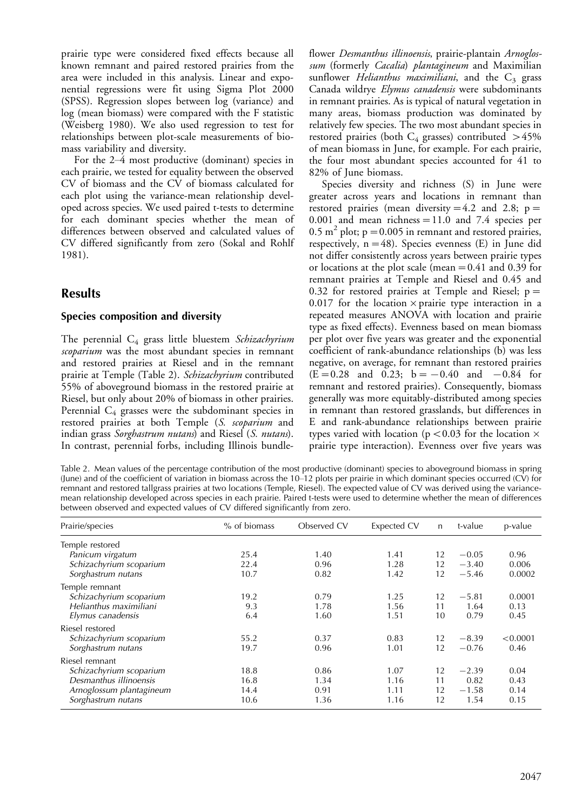prairie type were considered fixed effects because all known remnant and paired restored prairies from the area were included in this analysis. Linear and exponential regressions were fit using Sigma Plot 2000 (SPSS). Regression slopes between log (variance) and log (mean biomass) were compared with the F statistic (Weisberg 1980). We also used regression to test for relationships between plot-scale measurements of biomass variability and diversity.

For the  $2-4$  most productive (dominant) species in each prairie, we tested for equality between the observed CV of biomass and the CV of biomass calculated for each plot using the variance-mean relationship developed across species. We used paired t-tests to determine for each dominant species whether the mean of differences between observed and calculated values of CV differed significantly from zero (Sokal and Rohlf 1981).

## Results

#### Species composition and diversity

The perennial  $C_4$  grass little bluestem Schizachyrium scoparium was the most abundant species in remnant and restored prairies at Riesel and in the remnant prairie at Temple (Table 2). Schizachyrium contributed 55% of aboveground biomass in the restored prairie at Riesel, but only about 20% of biomass in other prairies. Perennial  $C_4$  grasses were the subdominant species in restored prairies at both Temple (S. scoparium and indian grass Sorghastrum nutans) and Riesel (S. nutans). In contrast, perennial forbs, including Illinois bundle-

flower Desmanthus illinoensis, prairie-plantain Arnoglossum (formerly Cacalia) plantagineum and Maximilian sunflower *Helianthus maximiliani*, and the  $C_3$  grass Canada wildrye Elymus canadensis were subdominants in remnant prairies. As is typical of natural vegetation in many areas, biomass production was dominated by relatively few species. The two most abundant species in restored prairies (both  $C_4$  grasses) contributed  $>45\%$ of mean biomass in June, for example. For each prairie, the four most abundant species accounted for 41 to 82% of June biomass.

Species diversity and richness (S) in June were greater across years and locations in remnant than restored prairies (mean diversity  $=4.2$  and 2.8; p  $=$ 0.001 and mean richness  $=11.0$  and 7.4 species per 0.5 m<sup>2</sup> plot;  $p = 0.005$  in remnant and restored prairies, respectively,  $n=48$ ). Species evenness (E) in June did not differ consistently across years between prairie types or locations at the plot scale (mean  $=0.41$  and 0.39 for remnant prairies at Temple and Riesel and 0.45 and 0.32 for restored prairies at Temple and Riesel;  $p =$ 0.017 for the location  $\times$  prairie type interaction in a repeated measures ANOVA with location and prairie type as fixed effects). Evenness based on mean biomass per plot over five years was greater and the exponential coefficient of rank-abundance relationships (b) was less negative, on average, for remnant than restored prairies  $(E=0.28$  and 0.23;  $b=-0.40$  and  $-0.84$  for remnant and restored prairies). Consequently, biomass generally was more equitably-distributed among species in remnant than restored grasslands, but differences in E and rank-abundance relationships between prairie types varied with location ( $p < 0.03$  for the location  $\times$ prairie type interaction). Evenness over five years was

Table 2. Mean values of the percentage contribution of the most productive (dominant) species to aboveground biomass in spring (June) and of the coefficient of variation in biomass across the 10-12 plots per prairie in which dominant species occurred (CV) for remnant and restored tallgrass prairies at two locations (Temple, Riesel). The expected value of CV was derived using the variancemean relationship developed across species in each prairie. Paired t-tests were used to determine whether the mean of differences between observed and expected values of CV differed significantly from zero.

| Prairie/species          | % of biomass | Observed CV | Expected CV | $\mathsf{n}$ | t-value | p-value  |
|--------------------------|--------------|-------------|-------------|--------------|---------|----------|
| Temple restored          |              |             |             |              |         |          |
| Panicum virgatum         | 25.4         | 1.40        | 1.41        | 12           | $-0.05$ | 0.96     |
| Schizachyrium scoparium  | 22.4         | 0.96        | 1.28        | 12           | $-3.40$ | 0.006    |
| Sorghastrum nutans       | 10.7         | 0.82        | 1.42        | 12           | $-5.46$ | 0.0002   |
| Temple remnant           |              |             |             |              |         |          |
| Schizachyrium scoparium  | 19.2         | 0.79        | 1.25        | 12           | $-5.81$ | 0.0001   |
| Helianthus maximiliani   | 9.3          | 1.78        | 1.56        | 11           | 1.64    | 0.13     |
| Elymus canadensis        | 6.4          | 1.60        | 1.51        | 10           | 0.79    | 0.45     |
| Riesel restored          |              |             |             |              |         |          |
| Schizachyrium scoparium  | 55.2         | 0.37        | 0.83        | 12           | $-8.39$ | < 0.0001 |
| Sorghastrum nutans       | 19.7         | 0.96        | 1.01        | 12           | $-0.76$ | 0.46     |
| Riesel remnant           |              |             |             |              |         |          |
| Schizachyrium scoparium  | 18.8         | 0.86        | 1.07        | 12           | $-2.39$ | 0.04     |
| Desmanthus illinoensis   | 16.8         | 1.34        | 1.16        | 11           | 0.82    | 0.43     |
| Arnoglossum plantagineum | 14.4         | 0.91        | 1.11        | 12           | $-1.58$ | 0.14     |
| Sorghastrum nutans       | 10.6         | 1.36        | 1.16        | 12           | 1.54    | 0.15     |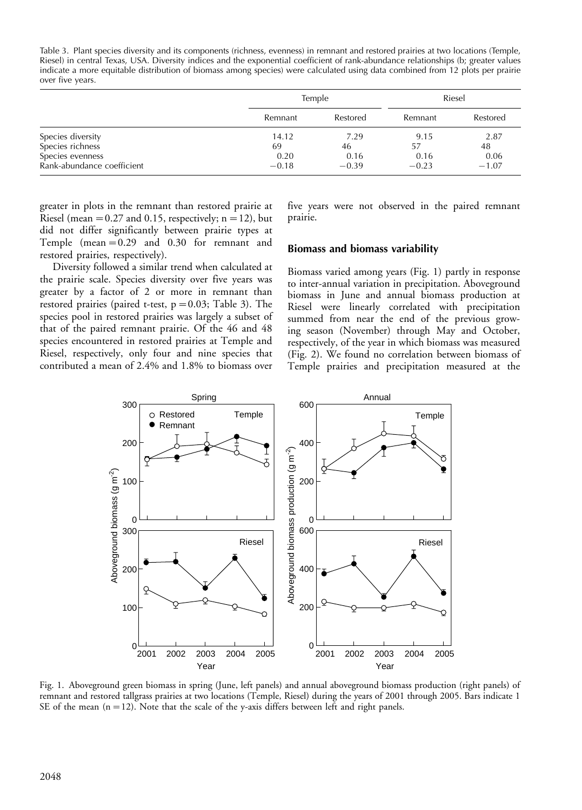Table 3. Plant species diversity and its components (richness, evenness) in remnant and restored prairies at two locations (Temple, Riesel) in central Texas, USA. Diversity indices and the exponential coefficient of rank-abundance relationships (b; greater values indicate a more equitable distribution of biomass among species) were calculated using data combined from 12 plots per prairie over five years.

|                            |         | Temple   |         | Riesel   |  |
|----------------------------|---------|----------|---------|----------|--|
|                            | Remnant | Restored | Remnant | Restored |  |
| Species diversity          | 14.12   | 7.29     | 9.15    | 2.87     |  |
| Species richness           | 69      | 46       | 57      | 48       |  |
| Species evenness           | 0.20    | 0.16     | 0.16    | 0.06     |  |
| Rank-abundance coefficient | $-0.18$ | $-0.39$  | $-0.23$ | $-1.07$  |  |

greater in plots in the remnant than restored prairie at Riesel (mean =  $0.27$  and 0.15, respectively; n = 12), but did not differ significantly between prairie types at Temple (mean  $=0.29$  and 0.30 for remnant and restored prairies, respectively).

Diversity followed a similar trend when calculated at the prairie scale. Species diversity over five years was greater by a factor of 2 or more in remnant than restored prairies (paired t-test,  $p=0.03$ ; Table 3). The species pool in restored prairies was largely a subset of that of the paired remnant prairie. Of the 46 and 48 species encountered in restored prairies at Temple and Riesel, respectively, only four and nine species that contributed a mean of 2.4% and 1.8% to biomass over

five years were not observed in the paired remnant prairie.

#### Biomass and biomass variability

Biomass varied among years (Fig. 1) partly in response to inter-annual variation in precipitation. Aboveground biomass in June and annual biomass production at Riesel were linearly correlated with precipitation summed from near the end of the previous growing season (November) through May and October, respectively, of the year in which biomass was measured (Fig. 2). We found no correlation between biomass of Temple prairies and precipitation measured at the



Fig. 1. Aboveground green biomass in spring (June, left panels) and annual aboveground biomass production (right panels) of remnant and restored tallgrass prairies at two locations (Temple, Riesel) during the years of 2001 through 2005. Bars indicate 1 SE of the mean  $(n=12)$ . Note that the scale of the y-axis differs between left and right panels.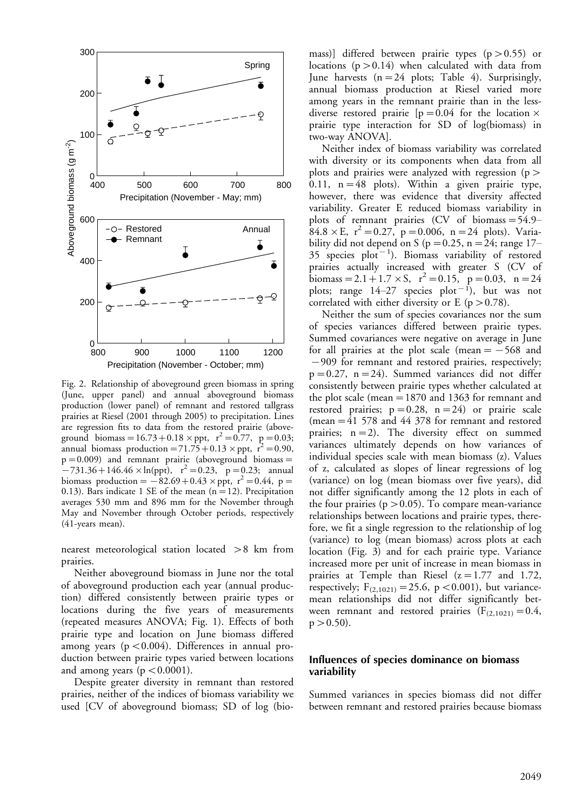

Fig. 2. Relationship of aboveground green biomass in spring (June, upper panel) and annual aboveground biomass production (lower panel) of remnant and restored tallgrass prairies at Riesel (2001 through 2005) to precipitation. Lines are regression fits to data from the restored prairie (aboveground biomass =  $16.73 + 0.18 \times \text{ppt}$ ,  $r^2 = 0.77$ ,  $p = 0.03$ ; annual biomass production =  $71.75+0.13 \times \text{ppt}$ ,  $\vec{r}^2$  = 0.90,  $p=0.009$ ) and remnant prairie (aboveground biomass =  $-731.36+146.46\times\ln(ppt)$ ,  $r^2 = 0.23$ , p = 0.23; annual biomass production =  $-82.69 + 0.43 \times \text{ppt}$ , r<sup>2</sup> = 0.44, p = 0.13). Bars indicate 1 SE of the mean  $(n=12)$ . Precipitation averages 530 mm and 896 mm for the November through May and November through October periods, respectively (41-years mean).

nearest meteorological station located >8 km from prairies.

Neither aboveground biomass in June nor the total of aboveground production each year (annual production) differed consistently between prairie types or locations during the five years of measurements (repeated measures ANOVA; Fig. 1). Effects of both prairie type and location on June biomass differed among years ( $p < 0.004$ ). Differences in annual production between prairie types varied between locations and among years ( $p < 0.0001$ ).

Despite greater diversity in remnant than restored prairies, neither of the indices of biomass variability we used [CV of aboveground biomass; SD of log (bio-

mass)] differed between prairie types  $(p > 0.55)$  or locations ( $p > 0.14$ ) when calculated with data from June harvests  $(n=24 \text{ plots}; \text{ Table } 4)$ . Surprisingly, annual biomass production at Riesel varied more among years in the remnant prairie than in the lessdiverse restored prairie  $[p=0.04$  for the location  $\times$ prairie type interaction for SD of log(biomass) in two-way ANOVA].

Neither index of biomass variability was correlated with diversity or its components when data from all plots and prairies were analyzed with regression (p  $>$ 0.11,  $n=48$  plots). Within a given prairie type, however, there was evidence that diversity affected variability. Greater E reduced biomass variability in plots of remnant prairies (CV of biomass  $=$  54.9–  $84.8 \times E$ ,  $r^2 = 0.27$ , p = 0.006, n = 24 plots). Variability did not depend on S ( $p=0.25$ , n = 24; range 17–  $35$  species  $plot^{-1}$ ). Biomass variability of restored prairies actually increased with greater S (CV of biomass = 2.1 + 1.7  $\times$  S,  $r^2$  = 0.15, p = 0.03, n = 24 plots; range  $14-27$  species plot<sup>-1</sup>), but was not correlated with either diversity or E ( $p > 0.78$ ).

Neither the sum of species covariances nor the sum of species variances differed between prairie types. Summed covariances were negative on average in June for all prairies at the plot scale (mean  $=$  -568 and 909 for remnant and restored prairies, respectively;  $p=0.27$ ,  $n=24$ ). Summed variances did not differ consistently between prairie types whether calculated at the plot scale (mean =  $1870$  and 1363 for remnant and restored prairies;  $p=0.28$ ,  $n=24$ ) or prairie scale (mean  $=$  41 578 and 44 378 for remnant and restored prairies;  $n=2$ ). The diversity effect on summed variances ultimately depends on how variances of individual species scale with mean biomass (z). Values of z, calculated as slopes of linear regressions of log (variance) on log (mean biomass over five years), did not differ significantly among the 12 plots in each of the four prairies ( $p > 0.05$ ). To compare mean-variance relationships between locations and prairie types, therefore, we fit a single regression to the relationship of log (variance) to log (mean biomass) across plots at each location (Fig. 3) and for each prairie type. Variance increased more per unit of increase in mean biomass in prairies at Temple than Riesel  $(z=1.77$  and 1.72, respectively;  $F_{(2,1021)} = 25.6$ , p < 0.001), but variancemean relationships did not differ significantly between remnant and restored prairies  $(F_{(2,1021)}=0.4,$  $p > 0.50$ ).

#### Influences of species dominance on biomass variability

Summed variances in species biomass did not differ between remnant and restored prairies because biomass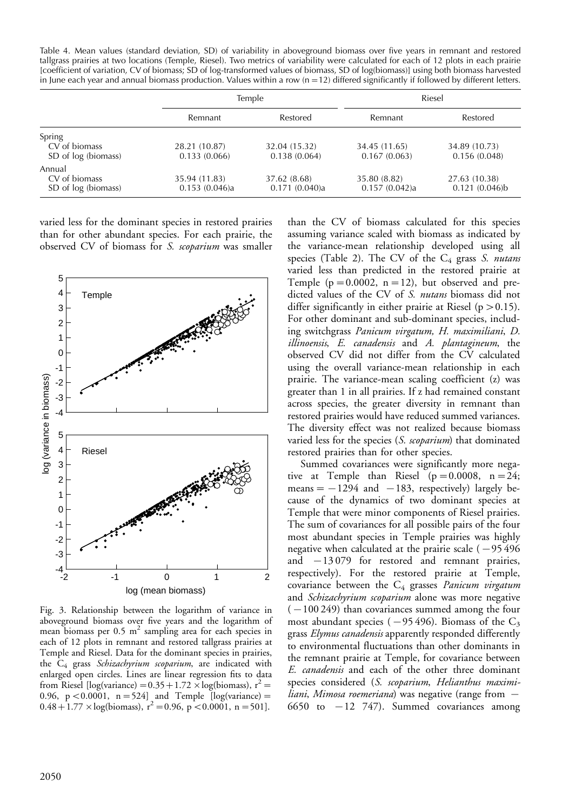Table 4. Mean values (standard deviation, SD) of variability in aboveground biomass over five years in remnant and restored tallgrass prairies at two locations (Temple, Riesel). Two metrics of variability were calculated for each of 12 plots in each prairie [coefficient of variation, CV of biomass; SD of log-transformed values of biomass, SD of log(biomass)] using both biomass harvested in June each year and annual biomass production. Values within a row  $(n=12)$  differed significantly if followed by different letters.

|                     | Temple        |               |               | Riesel        |
|---------------------|---------------|---------------|---------------|---------------|
|                     | Remnant       | Restored      | Remnant       | Restored      |
| Spring              |               |               |               |               |
| CV of biomass       | 28.21 (10.87) | 32.04 (15.32) | 34.45 (11.65) | 34.89 (10.73) |
| SD of log (biomass) | 0.133(0.066)  | 0.138(0.064)  | 0.167(0.063)  | 0.156(0.048)  |
| Annual              |               |               |               |               |
| CV of biomass       | 35.94 (11.83) | 37.62 (8.68)  | 35.80 (8.82)  | 27.63 (10.38) |
| SD of log (biomass) | 0.153(0.046)a | 0.171(0.040)a | 0.157(0.042)a | 0.121(0.046)b |

varied less for the dominant species in restored prairies than for other abundant species. For each prairie, the observed CV of biomass for S. scoparium was smaller



Fig. 3. Relationship between the logarithm of variance in aboveground biomass over five years and the logarithm of mean biomass per  $0.5 \text{ m}^2$  sampling area for each species in each of 12 plots in remnant and restored tallgrass prairies at Temple and Riesel. Data for the dominant species in prairies, the C<sub>4</sub> grass Schizachyrium scoparium, are indicated with enlarged open circles. Lines are linear regression fits to data from Riesel [log(variance) =  $0.35+1.72\times$ log(biomass), r<sup>2</sup> = 0.96, p < 0.0001, n = 524] and Temple [log(variance) = 0.48 + 1.77  $\times$  log(biomass), r<sup>2</sup> = 0.96, p < 0.0001, n = 501].

than the CV of biomass calculated for this species assuming variance scaled with biomass as indicated by the variance-mean relationship developed using all species (Table 2). The CV of the  $C_4$  grass S. nutans varied less than predicted in the restored prairie at Temple ( $p=0.0002$ ,  $n=12$ ), but observed and predicted values of the CV of S. nutans biomass did not differ significantly in either prairie at Riesel ( $p > 0.15$ ). For other dominant and sub-dominant species, including switchgrass Panicum virgatum, H. maximiliani, D. illinoensis, E. canadensis and A. plantagineum, the observed CV did not differ from the CV calculated using the overall variance-mean relationship in each prairie. The variance-mean scaling coefficient (z) was greater than 1 in all prairies. If z had remained constant across species, the greater diversity in remnant than restored prairies would have reduced summed variances. The diversity effect was not realized because biomass varied less for the species (S. scoparium) that dominated restored prairies than for other species.

Summed covariances were significantly more negative at Temple than Riesel ( $p=0.0008$ ,  $n=24$ ; means  $=$   $-1294$  and  $-183$ , respectively) largely because of the dynamics of two dominant species at Temple that were minor components of Riesel prairies. The sum of covariances for all possible pairs of the four most abundant species in Temple prairies was highly negative when calculated at the prairie scale  $(-95 496$ and  $-13079$  for restored and remnant prairies, respectively). For the restored prairie at Temple, covariance between the  $C_4$  grasses *Panicum virgatum* and Schizachyrium scoparium alone was more negative  $(-100 249)$  than covariances summed among the four most abundant species ( $-95 496$ ). Biomass of the C<sub>3</sub> grass Elymus canadensis apparently responded differently to environmental fluctuations than other dominants in the remnant prairie at Temple, for covariance between E. canadensis and each of the other three dominant species considered (S. scoparium, Helianthus maximiliani, Mimosa roemeriana) was negative (range from  $-$ 6650 to  $-12$  747). Summed covariances among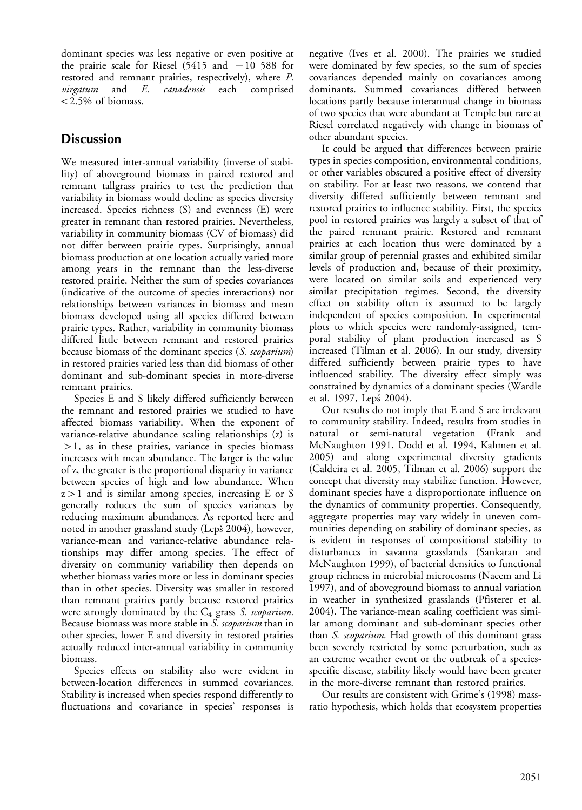dominant species was less negative or even positive at the prairie scale for Riesel  $(5415 \text{ and } -10 \text{ 588} \text{ for})$ restored and remnant prairies, respectively), where P. virgatum and E. canadensis each comprised  $< 2.5\%$  of biomass.

# **Discussion**

We measured inter-annual variability (inverse of stability) of aboveground biomass in paired restored and remnant tallgrass prairies to test the prediction that variability in biomass would decline as species diversity increased. Species richness (S) and evenness (E) were greater in remnant than restored prairies. Nevertheless, variability in community biomass (CV of biomass) did not differ between prairie types. Surprisingly, annual biomass production at one location actually varied more among years in the remnant than the less-diverse restored prairie. Neither the sum of species covariances (indicative of the outcome of species interactions) nor relationships between variances in biomass and mean biomass developed using all species differed between prairie types. Rather, variability in community biomass differed little between remnant and restored prairies because biomass of the dominant species (S. scoparium) in restored prairies varied less than did biomass of other dominant and sub-dominant species in more-diverse remnant prairies.

Species E and S likely differed sufficiently between the remnant and restored prairies we studied to have affected biomass variability. When the exponent of variance-relative abundance scaling relationships (z) is  $>$ 1, as in these prairies, variance in species biomass increases with mean abundance. The larger is the value of z, the greater is the proportional disparity in variance between species of high and low abundance. When z-1 and is similar among species, increasing E or S generally reduces the sum of species variances by reducing maximum abundances. As reported here and noted in another grassland study (Lepš 2004), however, variance-mean and variance-relative abundance relationships may differ among species. The effect of diversity on community variability then depends on whether biomass varies more or less in dominant species than in other species. Diversity was smaller in restored than remnant prairies partly because restored prairies were strongly dominated by the  $C_4$  grass S. scoparium. Because biomass was more stable in S. scoparium than in other species, lower E and diversity in restored prairies actually reduced inter-annual variability in community biomass.

Species effects on stability also were evident in between-location differences in summed covariances. Stability is increased when species respond differently to fluctuations and covariance in species' responses is

negative (Ives et al. 2000). The prairies we studied were dominated by few species, so the sum of species covariances depended mainly on covariances among dominants. Summed covariances differed between locations partly because interannual change in biomass of two species that were abundant at Temple but rare at Riesel correlated negatively with change in biomass of other abundant species.

It could be argued that differences between prairie types in species composition, environmental conditions, or other variables obscured a positive effect of diversity on stability. For at least two reasons, we contend that diversity differed sufficiently between remnant and restored prairies to influence stability. First, the species pool in restored prairies was largely a subset of that of the paired remnant prairie. Restored and remnant prairies at each location thus were dominated by a similar group of perennial grasses and exhibited similar levels of production and, because of their proximity, were located on similar soils and experienced very similar precipitation regimes. Second, the diversity effect on stability often is assumed to be largely independent of species composition. In experimental plots to which species were randomly-assigned, temporal stability of plant production increased as S increased (Tilman et al. 2006). In our study, diversity differed sufficiently between prairie types to have influenced stability. The diversity effect simply was constrained by dynamics of a dominant species (Wardle et al. 1997, Lepš 2004).

Our results do not imply that E and S are irrelevant to community stability. Indeed, results from studies in natural or semi-natural vegetation (Frank and McNaughton 1991, Dodd et al. 1994, Kahmen et al. 2005) and along experimental diversity gradients (Caldeira et al. 2005, Tilman et al. 2006) support the concept that diversity may stabilize function. However, dominant species have a disproportionate influence on the dynamics of community properties. Consequently, aggregate properties may vary widely in uneven communities depending on stability of dominant species, as is evident in responses of compositional stability to disturbances in savanna grasslands (Sankaran and McNaughton 1999), of bacterial densities to functional group richness in microbial microcosms (Naeem and Li 1997), and of aboveground biomass to annual variation in weather in synthesized grasslands (Pfisterer et al. 2004). The variance-mean scaling coefficient was similar among dominant and sub-dominant species other than S. scoparium. Had growth of this dominant grass been severely restricted by some perturbation, such as an extreme weather event or the outbreak of a speciesspecific disease, stability likely would have been greater in the more-diverse remnant than restored prairies.

Our results are consistent with Grime's (1998) massratio hypothesis, which holds that ecosystem properties